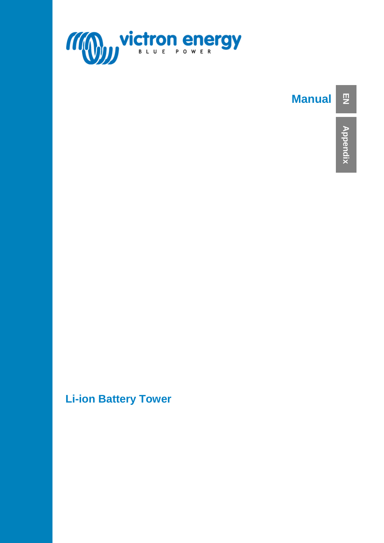

## **Manual**

**Li-ion Battery Tower**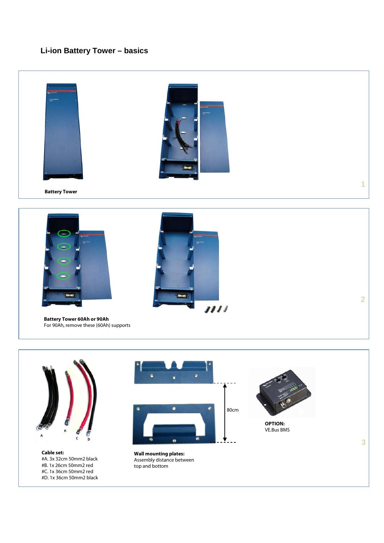## **Li-ion Battery Tower – basics**





**Cable set:** #A. 3x 32cm 50mm2 black #B. 1x 26cm 50mm2 red #C. 1x 36cm 50mm2 red #D. 1x 36cm 50mm2 black



**Wall mounting plates:** Assembly distance between top and bottom



**OPTION:** VE.Bus BMS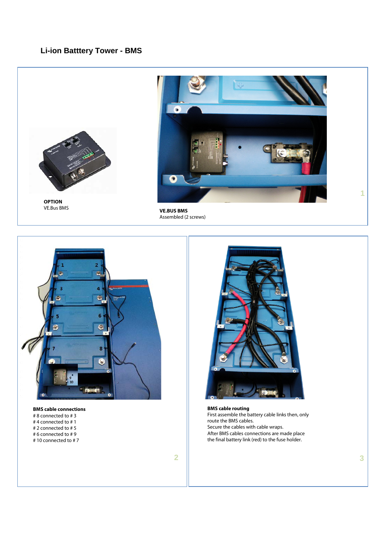## **Li-ion Batttery Tower - BMS**



**OPTION** VE.Bus BMS



**VE.BUS BMS** Assembled (2 screws)



**BMS cable connections** # 8 connected to # 3 # 4 connected to # 1 # 2 connected to # 5 # 6 connected to # 9 # 10 connected to # 7



**BMS cable routing** First assemble the battery cable links then, only route the BMS cables. Secure the cables with cable wraps. After BMS cables connections are made place the final battery link (red) to the fuse holder.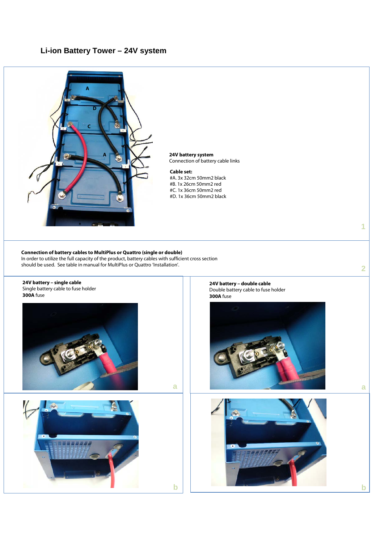### **Li-ion Battery Tower – 24V system**



**24V battery system** Connection of battery cable links

#### **Cable set:**

- #A. 3x 32cm 50mm2 black
- #B. 1x 26cm 50mm2 red #C. 1x 36cm 50mm2 red
- #D. 1x 36cm 50mm2 black

In order to utilize the full capacity of the product, battery cables with sufficient cross section should be used. See table in manual for MultiPlus or Quattro 'Installation'.

**Connection of battery cables to MultiPlus or Quattro (single or double)** 



**24V battery – double cable** Double battery cable to fuse holder **300A** fuse



**1**

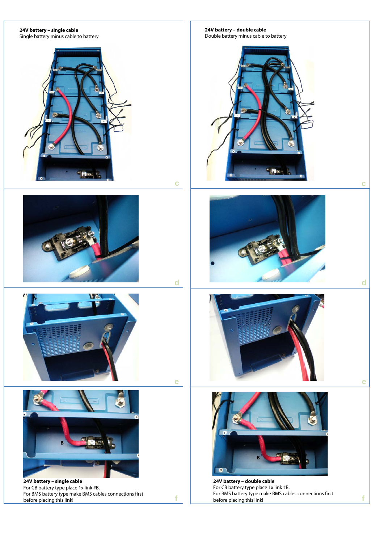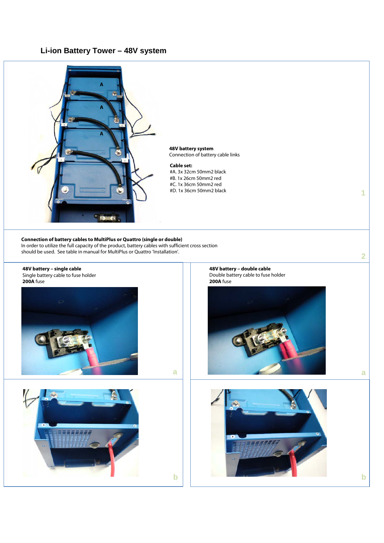## **Li-ion Battery Tower – 48V system**



#### **48V battery system** Connection of battery cable links

#### **Cable set:**

- #A. 3x 32cm 50mm2 black #B. 1x 26cm 50mm2 red
- #C. 1x 36cm 50mm2 red
- #D. 1x 36cm 50mm2 black

#### **Connection of battery cables to MultiPlus or Quattro (single or double)**

In order to utilize the full capacity of the product, battery cables with sufficient cross section should be used. See table in manual for MultiPlus or Quattro 'Installation'.



22*3337.* 

**48V battery – double cable** Double battery cable to fuse holder **200A** fuse





**2**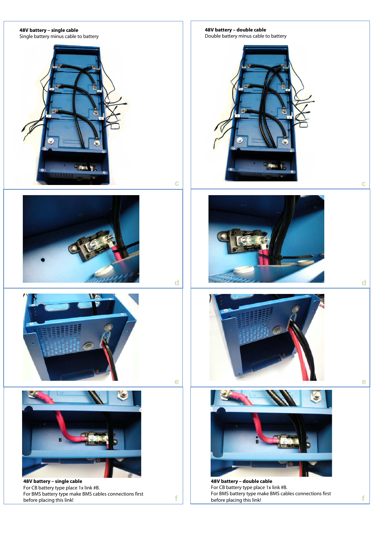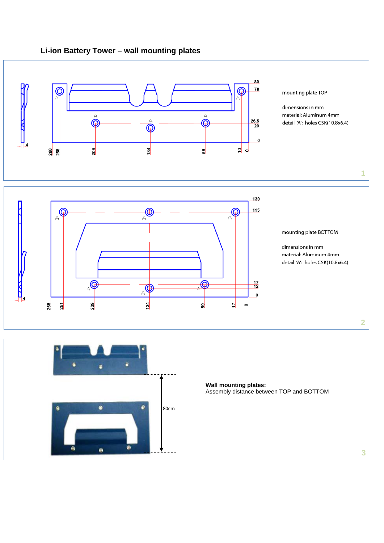## **Li-ion Battery Tower – wall mounting plates**